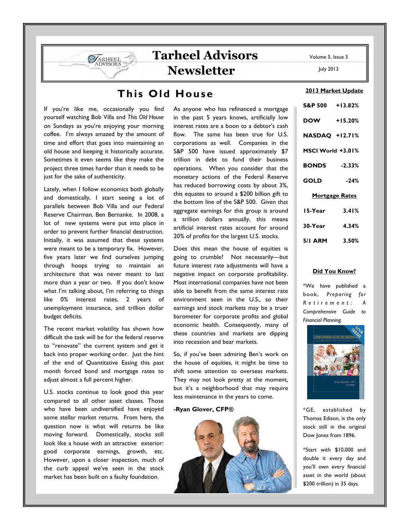2013 Market Update

July 2013

# This Old House

Tarheel Advisors

Newsletter

If you're like me, occasionally you find yourself watching Bob Villa and This Old House on Sundays as you're enjoying your morning coffee. I'm always amazed by the amount of time and effort that goes into maintaining an old house and keeping it historically accurate. Sometimes it even seems like they make the project three times harder than it needs to be just for the sake of authenticity.

ARHEEL

Lately, when I follow economics both globally and domestically, I start seeing a lot of parallels between Bob Villa and our Federal Reserve Chairman, Ben Bernanke. In 2008, a lot of new systems were put into place in order to prevent further financial destruction. Initially, it was assumed that these systems were meant to be a temporary fix. However, five years later we find ourselves jumping through hoops trying to maintain an architecture that was never meant to last more than a year or two. If you don't know what I'm talking about, I'm referring to things like 0% interest rates, 2 years of unemployment insurance, and trillion dollar budget deficits.

The recent market volatility has shown how difficult the task will be for the federal reserve to "renovate" the current system and get it back into proper working order. Just the hint of the end of Quantitative Easing this past month forced bond and mortgage rates to adjust almost a full percent higher.

U.S. stocks continue to look good this year compared to all other asset classes. Those who have been undiversified have enjoyed some stellar market returns. From here, the question now is what will returns be like moving forward. Domestically, stocks still look like a house with an attractive exterior: good corporate earnings, growth, etc. However, upon a closer inspection, much of the curb appeal we've seen in the stock market has been built on a faulty foundation.

As anyone who has refinanced a mortgage in the past 5 years knows, artificially low interest rates are a boon to a debtor's cash flow. The same has been true for U.S. corporations as well. Companies in the S&P 500 have issued approximately \$7 trillion in debt to fund their business operations. When you consider that the monetary actions of the Federal Reserve has reduced borrowing costs by about 3%, this equates to around a \$200 billion gift to the bottom line of the S&P 500. Given that aggregate earnings for this group is around a trillion dollars annually, this means artificial interest rates account for around 20% of profits for the largest U.S. stocks.

Does this mean the house of equities is going to crumble? Not necessarily—but future interest rate adjustments will have a negative impact on corporate profitability. Most international companies have not been able to benefit from the same interest rate environment seen in the U.S., so their earnings and stock markets may be a truer barometer for corporate profits and global economic health. Consequently, many of these countries and markets are dipping into recession and bear markets.

So, if you've been admiring Ben's work on the house of equities, it might be time to shift some attention to overseas markets. They may not look pretty at the moment, but it's a neighborhood that may require less maintenance in the years to come.

### -Ryan Glover, CFP®



| S&P 500 +13.82%       |           |
|-----------------------|-----------|
| <b>DOW</b>            | $+15.20%$ |
| <b>NASDAQ +12.71%</b> |           |
| MSCI World +3.01%     |           |
| <b>BONDS</b> -2.33%   |           |
| GOLD                  | $-24%$    |
| <b>Mortgage Rates</b> |           |
| 15-Year               | 3.41%     |
| 30-Year 4.34%         |           |

5/1 ARM 3.50%

### Did You Know?

\*We have published a book, Preparing for  $R$  e t i r e m e n t : Comprehensive Guide to Financial Planning.



\*GE, established by Thomas Edison, is the only stock still in the original Dow Jones from 1896.

\*Start with \$10,000 and double it every day and you'll own every financial asset in the world (about \$200 trillion) in 35 days.